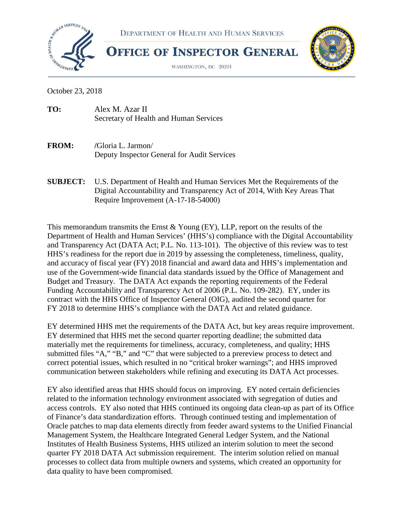



**OFFICE OF INSPECTOR GENERAL** 

WASHINGTON, DC 20201



October 23, 2018

| TO: | Alex M. Azar II                        |
|-----|----------------------------------------|
|     | Secretary of Health and Human Services |

- **FROM: /**Gloria L. Jarmon/ Deputy Inspector General for Audit Services
- **SUBJECT:** U.S. Department of Health and Human Services Met the Requirements of the Digital Accountability and Transparency Act of 2014, With Key Areas That Require Improvement (A-17-18-54000)

This memorandum transmits the Ernst & Young (EY), LLP, report on the results of the Department of Health and Human Services' (HHS's) compliance with the Digital Accountability and Transparency Act (DATA Act; P.L. No. 113-101). The objective of this review was to test HHS's readiness for the report due in 2019 by assessing the completeness, timeliness, quality, and accuracy of fiscal year (FY) 2018 financial and award data and HHS's implementation and use of the Government-wide financial data standards issued by the Office of Management and Budget and Treasury. The DATA Act expands the reporting requirements of the Federal Funding Accountability and Transparency Act of 2006 (P.L. No. 109-282). EY, under its contract with the HHS Office of Inspector General (OIG), audited the second quarter for FY 2018 to determine HHS's compliance with the DATA Act and related guidance.

EY determined HHS met the requirements of the DATA Act, but key areas require improvement. EY determined that HHS met the second quarter reporting deadline; the submitted data materially met the requirements for timeliness, accuracy, completeness, and quality; HHS submitted files "A," "B," and "C" that were subjected to a prereview process to detect and correct potential issues, which resulted in no "critical broker warnings"; and HHS improved communication between stakeholders while refining and executing its DATA Act processes.

EY also identified areas that HHS should focus on improving. EY noted certain deficiencies related to the information technology environment associated with segregation of duties and access controls. EY also noted that HHS continued its ongoing data clean-up as part of its Office of Finance's data standardization efforts. Through continued testing and implementation of Oracle patches to map data elements directly from feeder award systems to the Unified Financial Management System, the Healthcare Integrated General Ledger System, and the National Institutes of Health Business Systems, HHS utilized an interim solution to meet the second quarter FY 2018 DATA Act submission requirement. The interim solution relied on manual processes to collect data from multiple owners and systems, which created an opportunity for data quality to have been compromised.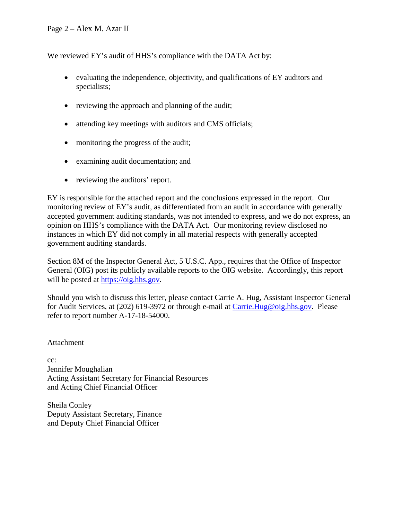We reviewed EY's audit of HHS's compliance with the DATA Act by:

- evaluating the independence, objectivity, and qualifications of EY auditors and specialists;
- reviewing the approach and planning of the audit;
- attending key meetings with auditors and CMS officials;
- monitoring the progress of the audit;
- examining audit documentation; and
- reviewing the auditors' report.

EY is responsible for the attached report and the conclusions expressed in the report. Our monitoring review of EY's audit, as differentiated from an audit in accordance with generally accepted government auditing standards, was not intended to express, and we do not express, an opinion on HHS's compliance with the DATA Act. Our monitoring review disclosed no instances in which EY did not comply in all material respects with generally accepted government auditing standards.

Section 8M of the Inspector General Act, 5 U.S.C. App., requires that the Office of Inspector General (OIG) post its publicly available reports to the OIG website. Accordingly, this report will be posted at [https://oig.hhs.gov.](https://oig.hhs.gov/)

Should you wish to discuss this letter, please contact Carrie A. Hug, Assistant Inspector General for Audit Services, at (202) 619-3972 or through e-mail at [Carrie.Hug@oig.hhs.gov.](mailto:Carrie.Hug@oig.hhs.gov) Please refer to report number A-17-18-54000.

Attachment

cc: Jennifer Moughalian Acting Assistant Secretary for Financial Resources and Acting Chief Financial Officer

Sheila Conley Deputy Assistant Secretary, Finance and Deputy Chief Financial Officer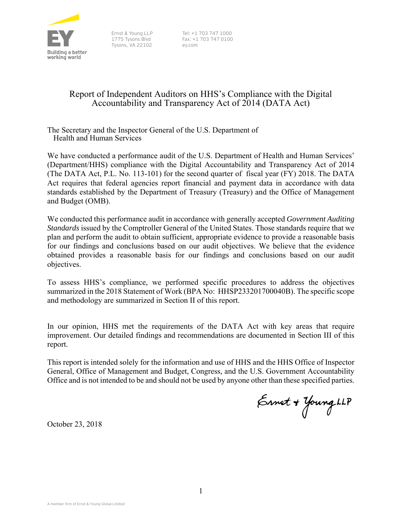

Tysons, VA 22102 ey.com

Ernst & Young LLP Tel: +1 703 747 1000 1775 Tysons Blvd Fax: +1 703 747 0100

# Report of Independent Auditors on HHS's Compliance with the Digital Accountability and Transparency Act of 2014 (DATA Act)

The Secretary and the Inspector General of the U.S. Department of Health and Human Services

We have conducted a performance audit of the U.S. Department of Health and Human Services' (Department/HHS) compliance with the Digital Accountability and Transparency Act of 2014 (The DATA Act, P.L. No. 113-101) for the second quarter of fiscal year (FY) 2018. The DATA Act requires that federal agencies report financial and payment data in accordance with data standards established by the Department of Treasury (Treasury) and the Office of Management and Budget (OMB).

We conducted this performance audit in accordance with generally accepted *Government Auditing Standards* issued by the Comptroller General of the United States. Those standards require that we plan and perform the audit to obtain sufficient, appropriate evidence to provide a reasonable basis for our findings and conclusions based on our audit objectives. We believe that the evidence obtained provides a reasonable basis for our findings and conclusions based on our audit objectives.

To assess HHS's compliance, we performed specific procedures to address the objectives summarized in the 2018 Statement of Work (BPA No: HHSP233201700040B). The specific scope and methodology are summarized in Section II of this report.

In our opinion, HHS met the requirements of the DATA Act with key areas that require improvement. Our detailed findings and recommendations are documented in Section III of this report.

 Office and is not intended to be and should not be used by anyone other than these specified parties. This report is intended solely for the information and use of HHS and the HHS Office of Inspector General, Office of Management and Budget, Congress, and the U.S. Government Accountability

Ennet + Young LLP

October 23, 2018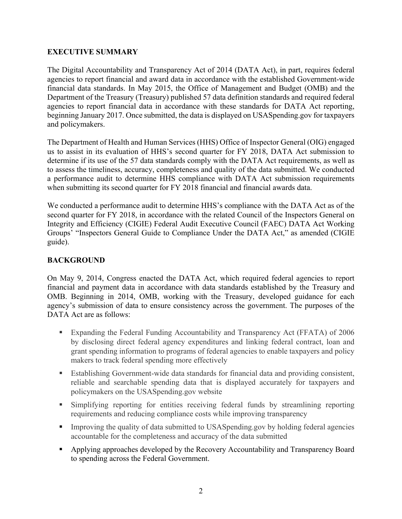#### **EXECUTIVE SUMMARY**

The Digital Accountability and Transparency Act of 2014 (DATA Act), in part, requires federal agencies to report financial and award data in accordance with the established Government-wide financial data standards. In May 2015, the Office of Management and Budget (OMB) and the Department of the Treasury (Treasury) published 57 data definition standards and required federal agencies to report financial data in accordance with these standards for DATA Act reporting, beginning January 2017. Once submitted, the data is displayed on USASpending.gov for taxpayers and policymakers.

 determine if its use of the 57 data standards comply with the DATA Act requirements, as well as The Department of Health and Human Services (HHS) Office of Inspector General (OIG) engaged us to assist in its evaluation of HHS's second quarter for FY 2018, DATA Act submission to to assess the timeliness, accuracy, completeness and quality of the data submitted. We conducted a performance audit to determine HHS compliance with DATA Act submission requirements when submitting its second quarter for FY 2018 financial and financial awards data.

We conducted a performance audit to determine HHS's compliance with the DATA Act as of the second quarter for FY 2018, in accordance with the related Council of the Inspectors General on Integrity and Efficiency (CIGIE) Federal Audit Executive Council (FAEC) DATA Act Working Groups' "Inspectors General Guide to Compliance Under the DATA Act," as amended (CIGIE guide).

## **BACKGROUND**

On May 9, 2014, Congress enacted the DATA Act, which required federal agencies to report financial and payment data in accordance with data standards established by the Treasury and OMB. Beginning in 2014, OMB, working with the Treasury, developed guidance for each agency's submission of data to ensure consistency across the government. The purposes of the DATA Act are as follows:

- Expanding the Federal Funding Accountability and Transparency Act (FFATA) of 2006 by disclosing direct federal agency expenditures and linking federal contract, loan and grant spending information to programs of federal agencies to enable taxpayers and policy makers to track federal spending more effectively
- Establishing Government-wide data standards for financial data and providing consistent, reliable and searchable spending data that is displayed accurately for taxpayers and policymakers on the USASpending.gov website
- Simplifying reporting for entities receiving federal funds by streamlining reporting requirements and reducing compliance costs while improving transparency
- **Improving the quality of data submitted to USASpending.gov by holding federal agencies** accountable for the completeness and accuracy of the data submitted
- Applying approaches developed by the Recovery Accountability and Transparency Board to spending across the Federal Government.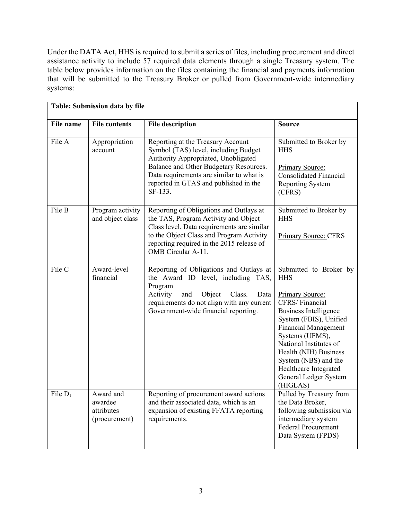Under the DATA Act, HHS is required to submit a series of files, including procurement and direct assistance activity to include 57 required data elements through a single Treasury system. The table below provides information on the files containing the financial and payments information that will be submitted to the Treasury Broker or pulled from Government-wide intermediary systems:

| Table: Submission data by file |                                                     |                                                                                                                                                                                                                                                            |                                                                                                                                                                                                                                                                                                                                |  |  |
|--------------------------------|-----------------------------------------------------|------------------------------------------------------------------------------------------------------------------------------------------------------------------------------------------------------------------------------------------------------------|--------------------------------------------------------------------------------------------------------------------------------------------------------------------------------------------------------------------------------------------------------------------------------------------------------------------------------|--|--|
| <b>File name</b>               | <b>File contents</b>                                | <b>File description</b>                                                                                                                                                                                                                                    | <b>Source</b>                                                                                                                                                                                                                                                                                                                  |  |  |
| File A                         | Appropriation<br>account                            | Reporting at the Treasury Account<br>Symbol (TAS) level, including Budget<br>Authority Appropriated, Unobligated<br>Balance and Other Budgetary Resources.<br>Data requirements are similar to what is<br>reported in GTAS and published in the<br>SF-133. | Submitted to Broker by<br><b>HHS</b><br>Primary Source:<br><b>Consolidated Financial</b><br><b>Reporting System</b><br>(CFRS)                                                                                                                                                                                                  |  |  |
| File B                         | Program activity<br>and object class                | Reporting of Obligations and Outlays at<br>the TAS, Program Activity and Object<br>Class level. Data requirements are similar<br>to the Object Class and Program Activity<br>reporting required in the 2015 release of<br>OMB Circular A-11.               | Submitted to Broker by<br><b>HHS</b><br>Primary Source: CFRS                                                                                                                                                                                                                                                                   |  |  |
| File C                         | Award-level<br>financial                            | Reporting of Obligations and Outlays at<br>the Award ID level, including TAS,<br>Program<br>Activity<br>and<br>Object<br>Class.<br>Data<br>requirements do not align with any current<br>Government-wide financial reporting.                              | Submitted to Broker by<br><b>HHS</b><br>Primary Source:<br>CFRS/Financial<br><b>Business Intelligence</b><br>System (FBIS), Unified<br><b>Financial Management</b><br>Systems (UFMS),<br>National Institutes of<br>Health (NIH) Business<br>System (NBS) and the<br>Healthcare Integrated<br>General Ledger System<br>(HIGLAS) |  |  |
| File $D_1$                     | Award and<br>awardee<br>attributes<br>(procurement) | Reporting of procurement award actions<br>and their associated data, which is an<br>expansion of existing FFATA reporting<br>requirements.                                                                                                                 | Pulled by Treasury from<br>the Data Broker,<br>following submission via<br>intermediary system<br><b>Federal Procurement</b><br>Data System (FPDS)                                                                                                                                                                             |  |  |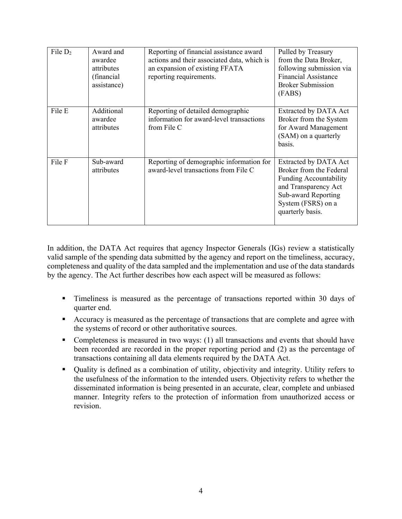| File $D_2$ | Award and<br>awardee<br>attributes<br>(financial<br>assistance) | Reporting of financial assistance award<br>actions and their associated data, which is<br>an expansion of existing FFATA<br>reporting requirements. | Pulled by Treasury<br>from the Data Broker,<br>following submission via<br><b>Financial Assistance</b><br><b>Broker Submission</b><br>(FABS)                                      |
|------------|-----------------------------------------------------------------|-----------------------------------------------------------------------------------------------------------------------------------------------------|-----------------------------------------------------------------------------------------------------------------------------------------------------------------------------------|
| File E     | Additional<br>awardee<br>attributes                             | Reporting of detailed demographic<br>information for award-level transactions<br>from File C                                                        | Extracted by DATA Act<br>Broker from the System<br>for Award Management<br>(SAM) on a quarterly<br>basis.                                                                         |
| File F     | Sub-award<br>attributes                                         | Reporting of demographic information for<br>award-level transactions from File C                                                                    | <b>Extracted by DATA Act</b><br>Broker from the Federal<br><b>Funding Accountability</b><br>and Transparency Act<br>Sub-award Reporting<br>System (FSRS) on a<br>quarterly basis. |

 valid sample of the spending data submitted by the agency and report on the timeliness, accuracy, In addition, the DATA Act requires that agency Inspector Generals (IGs) review a statistically completeness and quality of the data sampled and the implementation and use of the data standards by the agency. The Act further describes how each aspect will be measured as follows:

- Timeliness is measured as the percentage of transactions reported within 30 days of quarter end.
- Accuracy is measured as the percentage of transactions that are complete and agree with the systems of record or other authoritative sources.
- Completeness is measured in two ways: (1) all transactions and events that should have been recorded are recorded in the proper reporting period and (2) as the percentage of transactions containing all data elements required by the DATA Act.
- manner. Integrity refers to the protection of information from unauthorized access or Quality is defined as a combination of utility, objectivity and integrity. Utility refers to the usefulness of the information to the intended users. Objectivity refers to whether the disseminated information is being presented in an accurate, clear, complete and unbiased revision.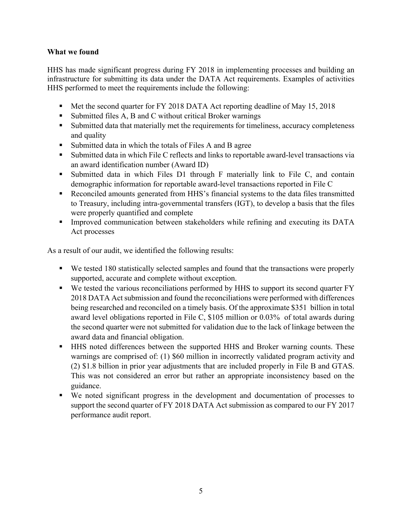#### **What we found**

HHS has made significant progress during FY 2018 in implementing processes and building an infrastructure for submitting its data under the DATA Act requirements. Examples of activities HHS performed to meet the requirements include the following:

- Met the second quarter for FY 2018 DATA Act reporting deadline of May 15, 2018
- $\blacksquare$  Submitted files A, B and C without critical Broker warnings
- Submitted data that materially met the requirements for timeliness, accuracy completeness and quality
- Submitted data in which the totals of Files A and B agree
- Submitted data in which File C reflects and links to reportable award-level transactions via an award identification number (Award ID)
- Submitted data in which Files D1 through F materially link to File C, and contain demographic information for reportable award-level transactions reported in File C
- Reconciled amounts generated from HHS's financial systems to the data files transmitted to Treasury, including intra-governmental transfers (IGT), to develop a basis that the files were properly quantified and complete
- Improved communication between stakeholders while refining and executing its DATA Act processes

As a result of our audit, we identified the following results:

- We tested 180 statistically selected samples and found that the transactions were properly supported, accurate and complete without exception.
- award level obligations reported in File C, \$105 million or 0.03% of total awards during ■ We tested the various reconciliations performed by HHS to support its second quarter FY 2018 DATA Act submission and found the reconciliations were performed with differences being researched and reconciled on a timely basis. Of the approximate \$351 billion in total the second quarter were not submitted for validation due to the lack of linkage between the award data and financial obligation.
- This was not considered an error but rather an appropriate inconsistency based on the HHS noted differences between the supported HHS and Broker warning counts. These warnings are comprised of: (1) \$60 million in incorrectly validated program activity and (2) \$1.8 billion in prior year adjustments that are included properly in File B and GTAS. guidance.
- We noted significant progress in the development and documentation of processes to support the second quarter of FY 2018 DATA Act submission as compared to our FY 2017 performance audit report.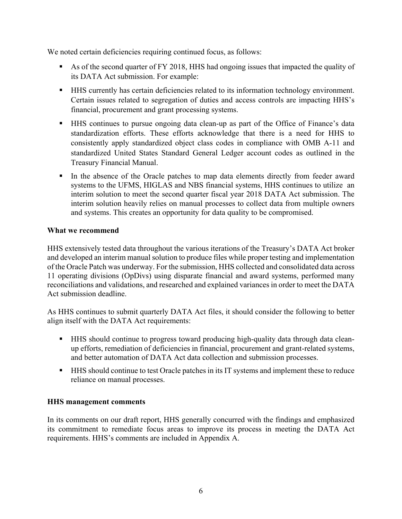We noted certain deficiencies requiring continued focus, as follows:

- As of the second quarter of FY 2018, HHS had ongoing issues that impacted the quality of its DATA Act submission. For example:
- Certain issues related to segregation of duties and access controls are impacting HHS's HHS currently has certain deficiencies related to its information technology environment. financial, procurement and grant processing systems.
- standardization efforts. These efforts acknowledge that there is a need for HHS to consistently apply standardized object class codes in compliance with OMB A-11 and HHS continues to pursue ongoing data clean-up as part of the Office of Finance's data standardized United States Standard General Ledger account codes as outlined in the Treasury Financial Manual.
- systems to the UFMS, HIGLAS and NBS financial systems, HHS continues to utilize an In the absence of the Oracle patches to map data elements directly from feeder award interim solution to meet the second quarter fiscal year 2018 DATA Act submission. The interim solution heavily relies on manual processes to collect data from multiple owners and systems. This creates an opportunity for data quality to be compromised.

#### **What we recommend**

 and developed an interim manual solution to produce files while proper testing and implementation of the Oracle Patch was underway. For the submission, HHS collected and consolidated data across HHS extensively tested data throughout the various iterations of the Treasury's DATA Act broker 11 operating divisions (OpDivs) using disparate financial and award systems, performed many reconciliations and validations, and researched and explained variances in order to meet the DATA Act submission deadline.

As HHS continues to submit quarterly DATA Act files, it should consider the following to better align itself with the DATA Act requirements:

- HHS should continue to progress toward producing high-quality data through data cleanup efforts, remediation of deficiencies in financial, procurement and grant-related systems, and better automation of DATA Act data collection and submission processes.
- **HHS** should continue to test Oracle patches in its IT systems and implement these to reduce reliance on manual processes.

# **HHS management comments**

In its comments on our draft report, HHS generally concurred with the findings and emphasized its commitment to remediate focus areas to improve its process in meeting the DATA Act requirements. HHS's comments are included in Appendix A.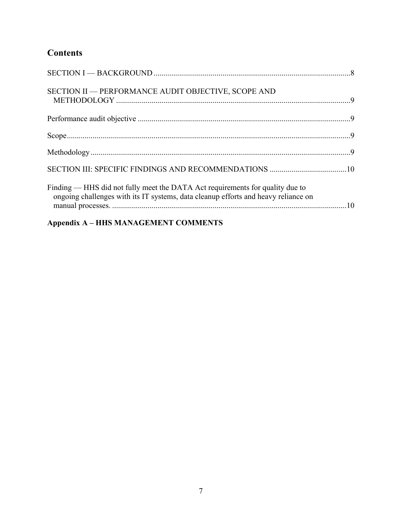# **Contents**

| SECTION II - PERFORMANCE AUDIT OBJECTIVE, SCOPE AND                                                                                                                                                                                                                                |  |
|------------------------------------------------------------------------------------------------------------------------------------------------------------------------------------------------------------------------------------------------------------------------------------|--|
|                                                                                                                                                                                                                                                                                    |  |
|                                                                                                                                                                                                                                                                                    |  |
|                                                                                                                                                                                                                                                                                    |  |
|                                                                                                                                                                                                                                                                                    |  |
| Finding — HHS did not fully meet the DATA Act requirements for quality due to<br>ongoing challenges with its IT systems, data cleanup efforts and heavy reliance on<br>المستحدث والمستنقذ المناسب المستنقذ والمستنقذ المستنقد المستنقد والمستنقذ المتناول المتناول المناور المناور |  |

# **Appendix A – HHS MANAGEMENT COMMENTS**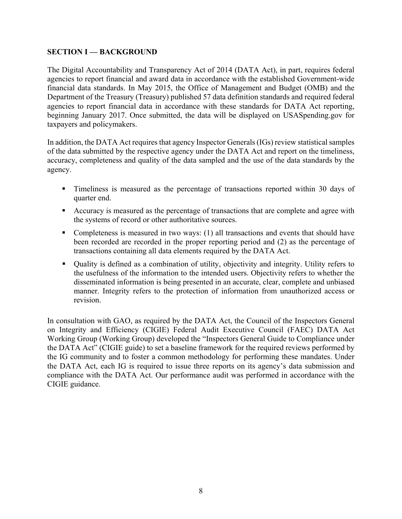## <span id="page-9-0"></span>**SECTION I — BACKGROUND**

The Digital Accountability and Transparency Act of 2014 (DATA Act), in part, requires federal agencies to report financial and award data in accordance with the established Government-wide financial data standards. In May 2015, the Office of Management and Budget (OMB) and the Department of the Treasury (Treasury) published 57 data definition standards and required federal agencies to report financial data in accordance with these standards for DATA Act reporting, beginning January 2017. Once submitted, the data will be displayed on USASpending.gov for taxpayers and policymakers.

In addition, the DATA Act requires that agency Inspector Generals (IGs) review statistical samples of the data submitted by the respective agency under the DATA Act and report on the timeliness, accuracy, completeness and quality of the data sampled and the use of the data standards by the agency.

- Timeliness is measured as the percentage of transactions reported within 30 days of quarter end.
- Accuracy is measured as the percentage of transactions that are complete and agree with the systems of record or other authoritative sources.
- Completeness is measured in two ways: (1) all transactions and events that should have been recorded are recorded in the proper reporting period and (2) as the percentage of transactions containing all data elements required by the DATA Act.
- manner. Integrity refers to the protection of information from unauthorized access or Quality is defined as a combination of utility, objectivity and integrity. Utility refers to the usefulness of the information to the intended users. Objectivity refers to whether the disseminated information is being presented in an accurate, clear, complete and unbiased revision.

 the DATA Act" (CIGIE guide) to set a baseline framework for the required reviews performed by In consultation with GAO, as required by the DATA Act, the Council of the Inspectors General on Integrity and Efficiency (CIGIE) Federal Audit Executive Council (FAEC) DATA Act Working Group (Working Group) developed the "Inspectors General Guide to Compliance under the IG community and to foster a common methodology for performing these mandates. Under the DATA Act, each IG is required to issue three reports on its agency's data submission and compliance with the DATA Act. Our performance audit was performed in accordance with the CIGIE guidance.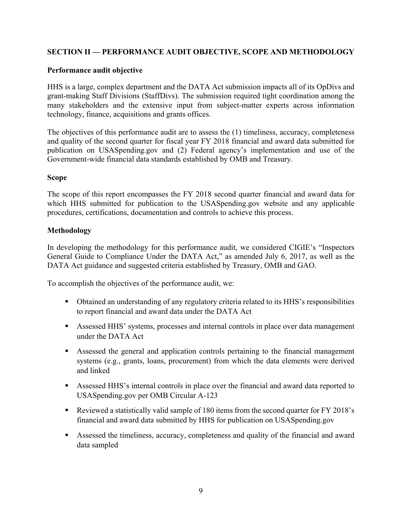#### <span id="page-10-0"></span> **SECTION II — PERFORMANCE AUDIT OBJECTIVE, SCOPE AND METHODOLOGY**

#### **Performance audit objective**

 HHS is a large, complex department and the DATA Act submission impacts all of its OpDivs and grant-making Staff Divisions (StaffDivs). The submission required tight coordination among the many stakeholders and the extensive input from subject-matter experts across information technology, finance, acquisitions and grants offices.

The objectives of this performance audit are to assess the (1) timeliness, accuracy, completeness and quality of the second quarter for fiscal year FY 2018 financial and award data submitted for publication on USASpending.gov and (2) Federal agency's implementation and use of the Government-wide financial data standards established by OMB and Treasury.

#### **Scope**

The scope of this report encompasses the FY 2018 second quarter financial and award data for which HHS submitted for publication to the USASpending.gov website and any applicable procedures, certifications, documentation and controls to achieve this process.

#### **Methodology**

In developing the methodology for this performance audit, we considered CIGIE's "Inspectors General Guide to Compliance Under the DATA Act," as amended July 6, 2017, as well as the DATA Act guidance and suggested criteria established by Treasury, OMB and GAO.

To accomplish the objectives of the performance audit, we:

- Obtained an understanding of any regulatory criteria related to its HHS's responsibilities to report financial and award data under the DATA Act
- Assessed HHS' systems, processes and internal controls in place over data management under the DATA Act
- Assessed the general and application controls pertaining to the financial management systems (e.g., grants, loans, procurement) from which the data elements were derived and linked
- Assessed HHS's internal controls in place over the financial and award data reported to USASpending.gov per OMB Circular A-123
- Reviewed a statistically valid sample of 180 items from the second quarter for FY 2018's financial and award data submitted by HHS for publication on USASpending.gov
- Assessed the timeliness, accuracy, completeness and quality of the financial and award data sampled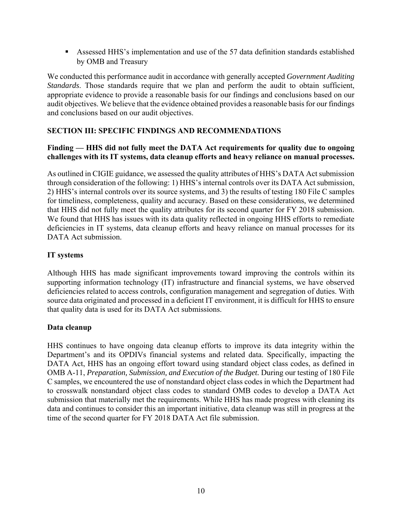<span id="page-11-0"></span> Assessed HHS's implementation and use of the 57 data definition standards established by OMB and Treasury

We conducted this performance audit in accordance with generally accepted *Government Auditing Standards*. Those standards require that we plan and perform the audit to obtain sufficient, appropriate evidence to provide a reasonable basis for our findings and conclusions based on our audit objectives. We believe that the evidence obtained provides a reasonable basis for our findings and conclusions based on our audit objectives.

#### **SECTION III: SPECIFIC FINDINGS AND RECOMMENDATIONS**

#### **Finding — HHS did not fully meet the DATA Act requirements for quality due to ongoing challenges with its IT systems, data cleanup efforts and heavy reliance on manual processes.**

 2) HHS's internal controls over its source systems, and 3) the results of testing 180 File C samples As outlined in CIGIE guidance, we assessed the quality attributes of HHS's DATA Act submission through consideration of the following: 1) HHS's internal controls over its DATA Act submission, for timeliness, completeness, quality and accuracy. Based on these considerations, we determined that HHS did not fully meet the quality attributes for its second quarter for FY 2018 submission. We found that HHS has issues with its data quality reflected in ongoing HHS efforts to remediate deficiencies in IT systems, data cleanup efforts and heavy reliance on manual processes for its DATA Act submission.

#### **IT systems**

Although HHS has made significant improvements toward improving the controls within its supporting information technology (IT) infrastructure and financial systems, we have observed deficiencies related to access controls, configuration management and segregation of duties. With source data originated and processed in a deficient IT environment, it is difficult for HHS to ensure that quality data is used for its DATA Act submissions.

#### **Data cleanup**

HHS continues to have ongoing data cleanup efforts to improve its data integrity within the Department's and its OPDIVs financial systems and related data. Specifically, impacting the DATA Act, HHS has an ongoing effort toward using standard object class codes, as defined in OMB A-11, *Preparation, Submission, and Execution of the Budget.* During our testing of 180 File C samples, we encountered the use of nonstandard object class codes in which the Department had to crosswalk nonstandard object class codes to standard OMB codes to develop a DATA Act submission that materially met the requirements. While HHS has made progress with cleaning its data and continues to consider this an important initiative, data cleanup was still in progress at the time of the second quarter for FY 2018 DATA Act file submission.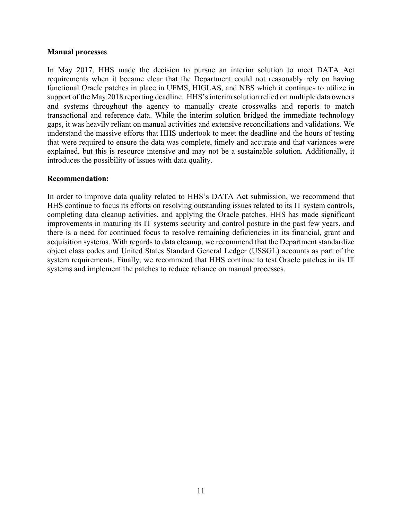#### **Manual processes**

In May 2017, HHS made the decision to pursue an interim solution to meet DATA Act requirements when it became clear that the Department could not reasonably rely on having functional Oracle patches in place in UFMS, HIGLAS, and NBS which it continues to utilize in support of the May 2018 reporting deadline. HHS's interim solution relied on multiple data owners and systems throughout the agency to manually create crosswalks and reports to match transactional and reference data. While the interim solution bridged the immediate technology gaps, it was heavily reliant on manual activities and extensive reconciliations and validations. We understand the massive efforts that HHS undertook to meet the deadline and the hours of testing that were required to ensure the data was complete, timely and accurate and that variances were explained, but this is resource intensive and may not be a sustainable solution. Additionally, it introduces the possibility of issues with data quality.

#### **Recommendation:**

 there is a need for continued focus to resolve remaining deficiencies in its financial, grant and In order to improve data quality related to HHS's DATA Act submission, we recommend that HHS continue to focus its efforts on resolving outstanding issues related to its IT system controls, completing data cleanup activities, and applying the Oracle patches. HHS has made significant improvements in maturing its IT systems security and control posture in the past few years, and acquisition systems. With regards to data cleanup, we recommend that the Department standardize object class codes and United States Standard General Ledger (USSGL) accounts as part of the system requirements. Finally, we recommend that HHS continue to test Oracle patches in its IT systems and implement the patches to reduce reliance on manual processes.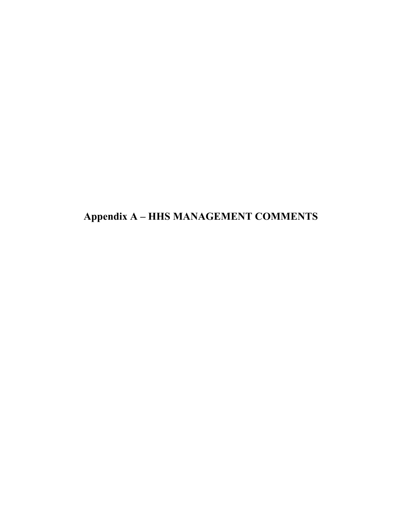**Appendix A – HHS MANAGEMENT COMMENTS**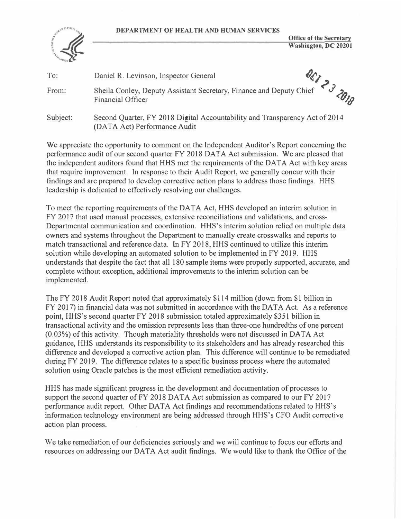**DEPARTMENT OF HEALTH AND HUMAN SERVICES** 



**Office of the Secretary Washington, DC 20201** 

| To:      | Daniel R. Levinson, Inspector General                                                                       |  |
|----------|-------------------------------------------------------------------------------------------------------------|--|
| From:    | Sheila Conley, Deputy Assistant Secretary, Finance and Deputy Chief<br><b>Financial Officer</b>             |  |
| Subject: | Second Quarter, FY 2018 Digital Accountability and Transparency Act of 2014<br>(DATA Act) Performance Audit |  |

We appreciate the opportunity to comment on the Independent Auditor's Report concerning the performance audit of our second quarter FY 2018 DATA Act submission. We are pleased that the independent auditors found that HHS met the requirements of the DATA Act with key areas that require improvement. In response to their Audit Report, we generally concur with their findings and are prepared to develop corrective action plans to address those findings. HHS leadership is dedicated to effectively resolving our challenges.

To meet the reporting requirements of the DATA Act, HHS developed an interim solution in FY 2017 that used manual processes, extensive reconciliations and validations, and cross-Departmental communication and coordination. HHS's interim solution relied on multiple data owners and systems throughout the Department to manually create crosswalks and reports to match transactional and reference data. In FY 2018, HHS continued to utilize this interim solution while developing an automated solution to be implemented in FY 2019. HHS understands that despite the fact that all 180 sample items were properly supported, accurate, and complete without exception, additional improvements to the interim solution can be implemented.

The FY 2018 Audit Report noted that approximately \$114 million ( down from \$1 billion in FY 2017) in financial data was not submitted in accordance with the DATA Act. As a reference point, HHS's second quarter FY 2018 submission totaled approximately \$351 billion in transactional activity and the omission represents less than three-one hundredths of one percent (0.03%) of this activity. Though materiality thresholds were not discussed in DATA Act guidance, HHS understands its responsibility to its stakeholders and has already researched this difference and developed a corrective action plan. This difference will continue to be remediated during FY 2019. The difference relates to a specific business process where the automated solution using Oracle patches is the most efficient remediation activity.

HHS has made significant progress in the development and documentation of processes to support the second quarter of  $FY$  2018 DATA Act submission as compared to our  $FY$  2017 performance audit report. Other DATA Act findings and recommendations related to HHS's information technology environment are being addressed through HHS's CFO Audit corrective action plan process.

We take remediation of our deficiencies seriously and we will continue to focus our efforts and resources on addressing our DATA Act audit findings. We would like to thank the Office of the